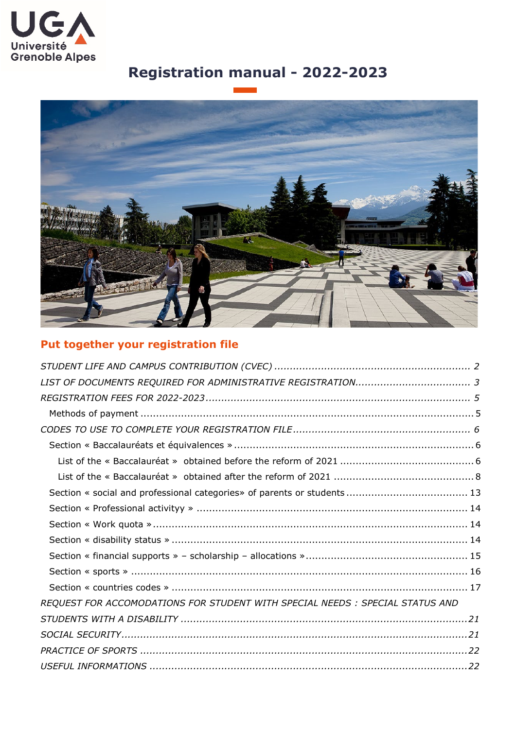

# **Registration manual - 2022-2023**



## **Put together your registration file**

| REQUEST FOR ACCOMODATIONS FOR STUDENT WITH SPECIAL NEEDS : SPECIAL STATUS AND |
|-------------------------------------------------------------------------------|
|                                                                               |
|                                                                               |
|                                                                               |
|                                                                               |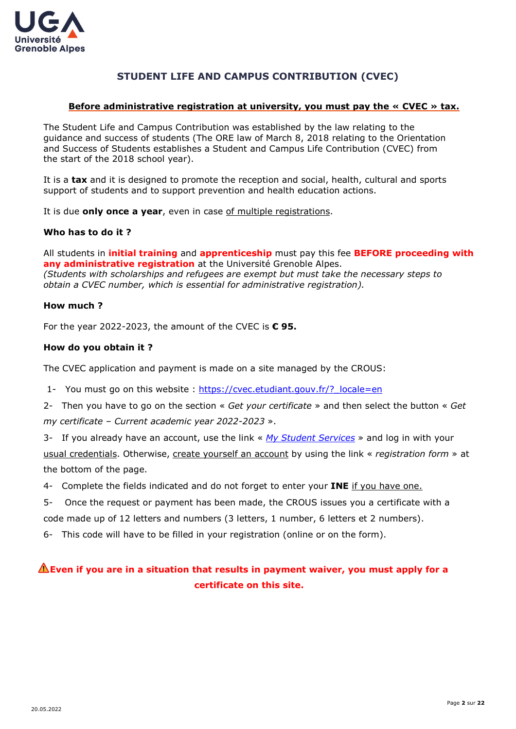

## **STUDENT LIFE AND CAMPUS CONTRIBUTION (CVEC)**

### <span id="page-1-0"></span>**Before administrative registration at university, you must pay the « CVEC » tax.**

The Student Life and Campus Contribution was established by the law relating to the guidance and success of students (The ORE law of March 8, 2018 relating to the Orientation and Success of Students establishes a Student and Campus Life Contribution (CVEC) from the start of the 2018 school year).

It is a **tax** and it is designed to promote the reception and social, health, cultural and sports support of students and to support prevention and health education actions.

It is due **only once a year**, even in case of multiple registrations.

## **Who has to do it ?**

All students in **initial training** and **apprenticeship** must pay this fee **BEFORE proceeding with any administrative registration** at the Université Grenoble Alpes. *(Students with scholarships and refugees are exempt but must take the necessary steps to obtain a CVEC number, which is essential for administrative registration).*

## **How much ?**

For the year 2022-2023, the amount of the CVEC is **€ 95.**

## **How do you obtain it ?**

The CVEC application and payment is made on a site managed by the CROUS:

- 1- You must go on this website : https://cvec.etudiant.gouv.fr/? locale=en
- 2- Then you have to go on the section « *Get your certificate* » and then select the button « *Get my certificate – Current academic year 2022-2023* ».

3- If you already have an account, use the link « *[My Student Services](https://idp.messervices.etudiant.gouv.fr/idp/profile/SAML2/Redirect/SSO;jsessionid=18C9E71B4D1D4E04AEF04AC371CA1BEE?execution=e1s1)* » and log in with your usual credentials. Otherwise, create yourself an account by using the link « *registration form* » at the bottom of the page.

- 4- Complete the fields indicated and do not forget to enter your **INE** if you have one.
- 5- Once the request or payment has been made, the CROUS issues you a certificate with a code made up of 12 letters and numbers (3 letters, 1 number, 6 letters et 2 numbers).

6- This code will have to be filled in your registration (online or on the form).

## **Even if you are in a situation that results in payment waiver, you must apply for a certificate on this site.**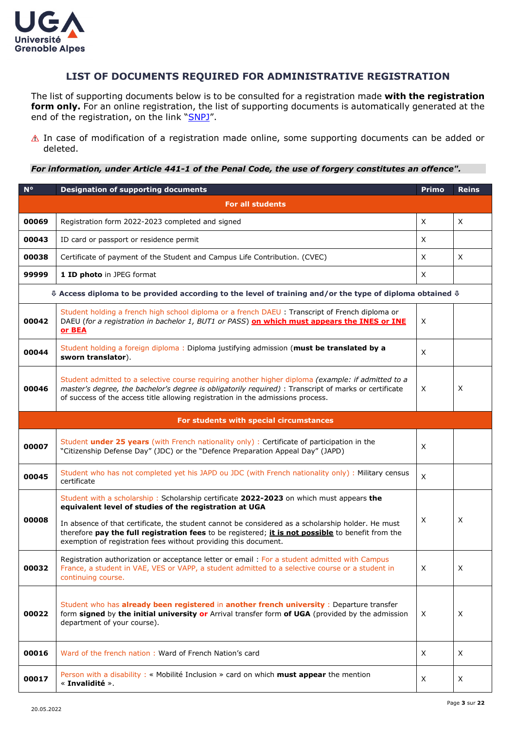

## **LIST OF DOCUMENTS REQUIRED FOR ADMINISTRATIVE REGISTRATION**

<span id="page-2-0"></span>The list of supporting documents below is to be consulted for a registration made **with the registration**  form only. For an online registration, the list of supporting documents is automatically generated at the end of the registration, on the link ["SNPJ"](https://pjweb-uga.grenet.fr/pjweb-uga/page/login.jsf).

 $\triangle$  In case of modification of a registration made online, some supporting documents can be added or deleted.

*For information, under Article 441-1 of the Penal Code, the use of forgery constitutes an offence".*

| $N^{\circ}$ | <b>Designation of supporting documents</b>                                                                                                                                                                                                                                                                                                                                                                                     |   | <b>Reins</b> |  |  |  |  |
|-------------|--------------------------------------------------------------------------------------------------------------------------------------------------------------------------------------------------------------------------------------------------------------------------------------------------------------------------------------------------------------------------------------------------------------------------------|---|--------------|--|--|--|--|
|             | <b>For all students</b>                                                                                                                                                                                                                                                                                                                                                                                                        |   |              |  |  |  |  |
| 00069       | Registration form 2022-2023 completed and signed                                                                                                                                                                                                                                                                                                                                                                               | X | X            |  |  |  |  |
| 00043       | ID card or passport or residence permit                                                                                                                                                                                                                                                                                                                                                                                        |   |              |  |  |  |  |
| 00038       | Certificate of payment of the Student and Campus Life Contribution. (CVEC)                                                                                                                                                                                                                                                                                                                                                     | X | X            |  |  |  |  |
| 99999       | 1 ID photo in JPEG format                                                                                                                                                                                                                                                                                                                                                                                                      | X |              |  |  |  |  |
|             | $\Phi$ Access diploma to be provided according to the level of training and/or the type of diploma obtained $\Phi$                                                                                                                                                                                                                                                                                                             |   |              |  |  |  |  |
| 00042       | Student holding a french high school diploma or a french DAEU : Transcript of French diploma or<br>DAEU (for a registration in bachelor 1, BUT1 or PASS) on which must appears the INES or INE<br>or BEA                                                                                                                                                                                                                       | Χ |              |  |  |  |  |
| 00044       | Student holding a foreign diploma: Diploma justifying admission (must be translated by a<br>X<br>sworn translator).                                                                                                                                                                                                                                                                                                            |   |              |  |  |  |  |
| 00046       | Student admitted to a selective course requiring another higher diploma (example: if admitted to a<br>master's degree, the bachelor's degree is obligatorily required) : Transcript of marks or certificate<br>X<br>of success of the access title allowing registration in the admissions process.                                                                                                                            |   |              |  |  |  |  |
|             | For students with special circumstances                                                                                                                                                                                                                                                                                                                                                                                        |   |              |  |  |  |  |
| 00007       | Student under 25 years (with French nationality only) : Certificate of participation in the<br>"Citizenship Defense Day" (JDC) or the "Defence Preparation Appeal Day" (JAPD)                                                                                                                                                                                                                                                  | X |              |  |  |  |  |
| 00045       | Student who has not completed yet his JAPD ou JDC (with French nationality only): Military census<br>certificate                                                                                                                                                                                                                                                                                                               | X |              |  |  |  |  |
| 00008       | Student with a scholarship: Scholarship certificate 2022-2023 on which must appears the<br>equivalent level of studies of the registration at UGA<br>In absence of that certificate, the student cannot be considered as a scholarship holder. He must<br>therefore pay the full registration fees to be registered; it is not possible to benefit from the<br>exemption of registration fees without providing this document. | X | X            |  |  |  |  |
| 00032       | Registration authorization or acceptance letter or email: For a student admitted with Campus<br>France, a student in VAE, VES or VAPP, a student admitted to a selective course or a student in<br>continuing course.                                                                                                                                                                                                          | X | X            |  |  |  |  |
| 00022       | Student who has already been registered in another french university : Departure transfer<br>form signed by the initial university or Arrival transfer form of UGA (provided by the admission<br>department of your course).                                                                                                                                                                                                   | X | X            |  |  |  |  |
| 00016       | Ward of the french nation: Ward of French Nation's card                                                                                                                                                                                                                                                                                                                                                                        | X | X            |  |  |  |  |
| 00017       | Person with a disability: « Mobilité Inclusion » card on which must appear the mention<br>« Invalidité ».                                                                                                                                                                                                                                                                                                                      | X | X            |  |  |  |  |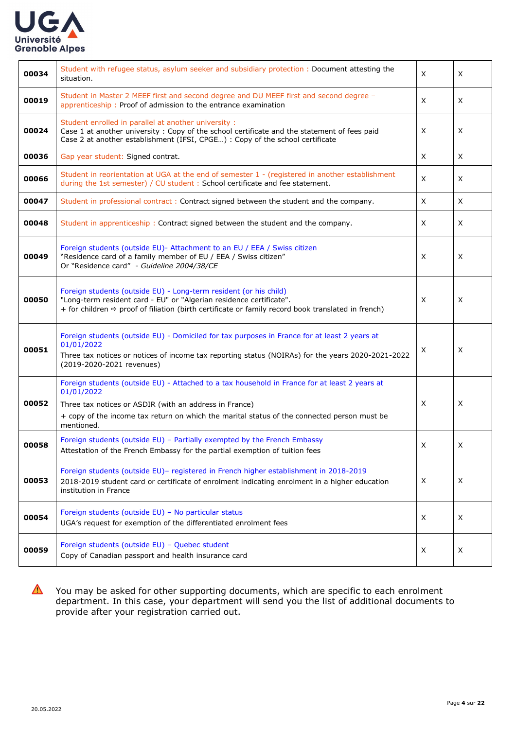

| 00034 | Student with refugee status, asylum seeker and subsidiary protection: Document attesting the<br>X<br>situation.                                                                                                                                                                         |                   | X |
|-------|-----------------------------------------------------------------------------------------------------------------------------------------------------------------------------------------------------------------------------------------------------------------------------------------|-------------------|---|
| 00019 | Student in Master 2 MEEF first and second degree and DU MEEF first and second degree -<br>apprenticeship: Proof of admission to the entrance examination                                                                                                                                |                   | X |
| 00024 | Student enrolled in parallel at another university :<br>Case 1 at another university: Copy of the school certificate and the statement of fees paid<br>X<br>Case 2 at another establishment (IFSI, CPGE) : Copy of the school certificate                                               |                   | X |
| 00036 | Gap year student: Signed contrat.                                                                                                                                                                                                                                                       | X                 | X |
| 00066 | Student in reorientation at UGA at the end of semester 1 - (registered in another establishment<br>X<br>during the 1st semester) / CU student : School certificate and fee statement.                                                                                                   |                   | X |
| 00047 | Student in professional contract: Contract signed between the student and the company.                                                                                                                                                                                                  | X                 | X |
| 00048 | X<br>Student in apprenticeship: Contract signed between the student and the company.                                                                                                                                                                                                    |                   | X |
| 00049 | Foreign students (outside EU)- Attachment to an EU / EEA / Swiss citizen<br>"Residence card of a family member of EU / EEA / Swiss citizen"<br>X<br>Or "Residence card" - Guideline 2004/38/CE                                                                                          |                   | X |
| 00050 | Foreign students (outside EU) - Long-term resident (or his child)<br>"Long-term resident card - EU" or "Algerian residence certificate".<br>X<br>+ for children $\Leftrightarrow$ proof of filiation (birth certificate or family record book translated in french)                     |                   | X |
| 00051 | Foreign students (outside EU) - Domiciled for tax purposes in France for at least 2 years at<br>01/01/2022<br>Χ<br>Three tax notices or notices of income tax reporting status (NOIRAs) for the years 2020-2021-2022<br>(2019-2020-2021 revenues)                                       |                   | X |
| 00052 | Foreign students (outside EU) - Attached to a tax household in France for at least 2 years at<br>01/01/2022<br>X<br>Three tax notices or ASDIR (with an address in France)<br>+ copy of the income tax return on which the marital status of the connected person must be<br>mentioned. |                   | X |
| 00058 | Foreign students (outside EU) - Partially exempted by the French Embassy<br>X<br>Attestation of the French Embassy for the partial exemption of tuition fees                                                                                                                            |                   | X |
| 00053 | Foreign students (outside EU)- registered in French higher establishment in 2018-2019<br>2018-2019 student card or certificate of enrolment indicating enrolment in a higher education<br>institution in France                                                                         | X<br>$\mathsf{X}$ |   |
| 00054 | Foreign students (outside EU) - No particular status<br>UGA's request for exemption of the differentiated enrolment fees                                                                                                                                                                | X                 | X |
| 00059 | Foreign students (outside EU) - Quebec student<br>Copy of Canadian passport and health insurance card                                                                                                                                                                                   | X                 | X |

You may be asked for other supporting documents, which are specific to each enrolment department. In this case, your department will send you the list of additional documents to provide after your registration carried out.

 $\boldsymbol{\Delta}$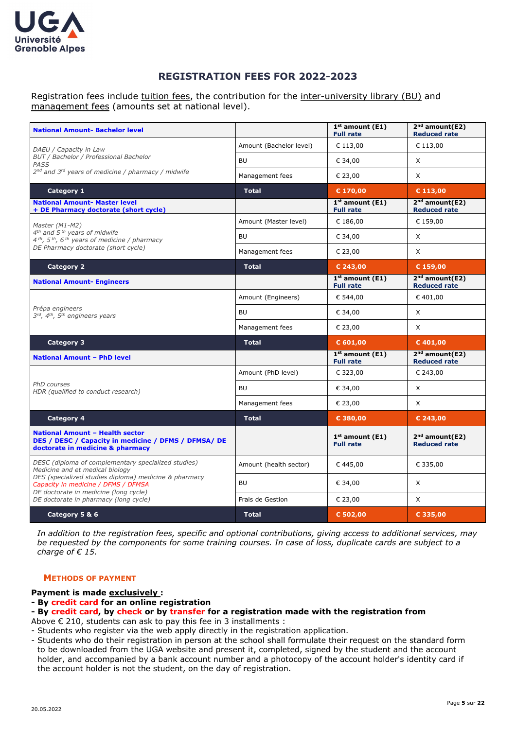

## **REGISTRATION FEES FOR 2022-2023**

<span id="page-4-0"></span>Registration fees include tuition fees, the contribution for the inter-university library (BU) and management fees (amounts set at national level).

| <b>National Amount- Bachelor level</b>                                                                                             |                         | $1st$ amount (E1)<br><b>Full rate</b> | $2nd$ amount(E2)<br><b>Reduced rate</b>           |
|------------------------------------------------------------------------------------------------------------------------------------|-------------------------|---------------------------------------|---------------------------------------------------|
| DAEU / Capacity in Law                                                                                                             | Amount (Bachelor level) | € 113,00                              | € 113,00                                          |
| BUT / Bachelor / Professional Bachelor<br>PASS                                                                                     | <b>BU</b>               | € 34,00                               | X                                                 |
| 2 <sup>nd</sup> and 3 <sup>rd</sup> years of medicine / pharmacy / midwife                                                         | Management fees         | € 23,00                               | $\times$                                          |
| Category 1                                                                                                                         | <b>Total</b>            | € 170,00                              | $C$ 113,00                                        |
| <b>National Amount- Master level</b><br>+ DE Pharmacy doctorate (short cycle)                                                      |                         | $1st$ amount (E1)<br><b>Full rate</b> | $2nd$ amount(E2)<br><b>Reduced rate</b>           |
| Master (M1-M2)                                                                                                                     | Amount (Master level)   | € 186,00                              | € 159,00                                          |
| 4 <sup>th</sup> and 5 <sup>th</sup> years of midwife<br>$4th$ , 5 <sup>th</sup> , 6 <sup>th</sup> years of medicine / pharmacy     | <b>BU</b>               | € 34,00                               | X                                                 |
| DE Pharmacy doctorate (short cycle)                                                                                                | Management fees         | € 23,00                               | $\times$                                          |
| <b>Category 2</b>                                                                                                                  | <b>Total</b>            | € 243,00                              | $C$ 159,00                                        |
| <b>National Amount- Engineers</b>                                                                                                  |                         | $1st$ amount (E1)<br><b>Full rate</b> | $2nd$ amount(E2)<br><b>Reduced rate</b>           |
|                                                                                                                                    | Amount (Engineers)      | € 544,00                              | €401,00                                           |
| Prépa engineers<br>3rd, 4th, 5th engineers years                                                                                   | <b>BU</b>               | € 34,00                               | $\times$                                          |
|                                                                                                                                    | Management fees         | € 23,00                               | X                                                 |
| <b>Category 3</b>                                                                                                                  | <b>Total</b>            | $C$ 601,00                            | $C$ 401,00                                        |
| <b>National Amount - PhD level</b>                                                                                                 |                         | $1st$ amount (E1)<br><b>Full rate</b> | $2nd$ amount(E2)<br><b>Reduced rate</b>           |
|                                                                                                                                    | Amount (PhD level)      | € 323,00                              | € 243,00                                          |
| PhD courses<br>HDR (qualified to conduct research)                                                                                 | <b>BU</b>               | € 34,00                               | X                                                 |
|                                                                                                                                    | Management fees         | € 23,00                               | $\times$                                          |
| <b>Category 4</b>                                                                                                                  | <b>Total</b>            | € 380,00                              | € 243,00                                          |
| <b>National Amount - Health sector</b><br>DES / DESC / Capacity in medicine / DFMS / DFMSA/ DE<br>doctorate in medicine & pharmacy |                         | $1st$ amount (E1)<br><b>Full rate</b> | 2 <sup>nd</sup> amount(E2)<br><b>Reduced rate</b> |
| DESC (diploma of complementary specialized studies)<br>Medicine and et medical biology                                             | Amount (health sector)  | €445,00                               | € 335,00                                          |
| DES (specialized studies diploma) medicine & pharmacy<br>Capacity in medicine / DFMS / DFMSA                                       | <b>BU</b>               | € 34,00                               | X                                                 |
| DE doctorate in medicine (long cycle)<br>DE doctorate in pharmacy (long cycle)                                                     | Frais de Gestion        | € 23,00                               | X                                                 |
| Category 5 & 6                                                                                                                     | <b>Total</b>            | € 502,00                              | € 335,00                                          |

*In addition to the registration fees, specific and optional contributions, giving access to additional services, may be requested by the components for some training courses. In case of loss, duplicate cards are subject to a charge of € 15.*

#### <span id="page-4-1"></span>**METHODS OF PAYMENT**

#### **Payment is made exclusively :**

#### **- By credit card for an online registration**

**- By credit card, by check or by transfer for a registration made with the registration from**

Above € 210, students can ask to pay this fee in 3 installments :

- Students who register via the web apply directly in the registration application.
- Students who do their registration in person at the school shall formulate their request on the standard form to be downloaded from the UGA website and present it, completed, signed by the student and the account holder, and accompanied by a bank account number and a photocopy of the account holder's identity card if the account holder is not the student, on the day of registration.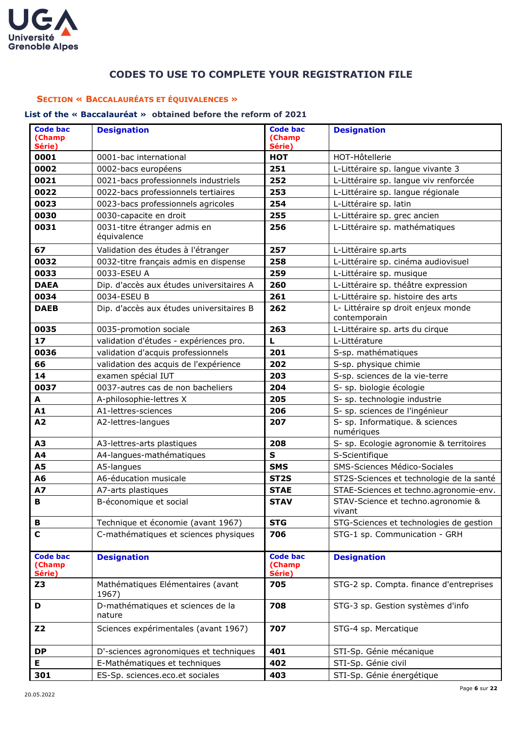

## **CODES TO USE TO COMPLETE YOUR REGISTRATION FILE**

#### <span id="page-5-1"></span><span id="page-5-0"></span>**SECTION « BACCALAURÉATS ET ÉQUIVALENCES »**

## <span id="page-5-2"></span>**List of the « Baccalauréat » obtained before the reform of 2021**

| <b>Code bac</b><br>(Champ<br>Série) | <b>Designation</b>                          | <b>Code bac</b><br>(Champ<br>Série)                          | <b>Designation</b>                                  |  |
|-------------------------------------|---------------------------------------------|--------------------------------------------------------------|-----------------------------------------------------|--|
| 0001                                | 0001-bac international                      | <b>HOT</b>                                                   | HOT-Hôtellerie                                      |  |
| 0002                                | 0002-bacs européens                         | 251                                                          | L-Littéraire sp. langue vivante 3                   |  |
| 0021                                | 0021-bacs professionnels industriels        | 252                                                          | L-Littéraire sp. langue viv renforcée               |  |
| 0022                                | 0022-bacs professionnels tertiaires<br>253  |                                                              | L-Littéraire sp. langue régionale                   |  |
| 0023                                | 0023-bacs professionnels agricoles          | 254                                                          | L-Littéraire sp. latin                              |  |
| 0030                                | 0030-capacite en droit                      | 255                                                          | L-Littéraire sp. grec ancien                        |  |
| 0031                                | 0031-titre étranger admis en<br>équivalence | 256                                                          | L-Littéraire sp. mathématiques                      |  |
| 67                                  | Validation des études à l'étranger          | 257                                                          | L-Littéraire sp.arts                                |  |
| 0032                                | 0032-titre français admis en dispense       | 258                                                          | L-Littéraire sp. cinéma audiovisuel                 |  |
| 0033                                | 0033-ESEU A                                 | 259                                                          | L-Littéraire sp. musique                            |  |
| <b>DAEA</b>                         | Dip. d'accès aux études universitaires A    | 260                                                          | L-Littéraire sp. théâtre expression                 |  |
| 0034                                | 0034-ESEU B                                 | 261                                                          | L-Littéraire sp. histoire des arts                  |  |
| <b>DAEB</b>                         | Dip. d'accès aux études universitaires B    | 262                                                          | L- Littéraire sp droit enjeux monde<br>contemporain |  |
| 0035                                | 0035-promotion sociale                      | 263                                                          | L-Littéraire sp. arts du cirque                     |  |
| 17                                  | validation d'études - expériences pro.      | L                                                            | L-Littérature                                       |  |
| 0036                                | validation d'acquis professionnels          | 201                                                          | S-sp. mathématiques                                 |  |
| 66                                  | validation des acquis de l'expérience       | 202                                                          | S-sp. physique chimie                               |  |
| 14                                  | examen spécial IUT                          | 203                                                          | S-sp. sciences de la vie-terre                      |  |
| 0037                                | 0037-autres cas de non bacheliers           | 204                                                          | S- sp. biologie écologie                            |  |
| A                                   | A-philosophie-lettres X                     | 205                                                          | S- sp. technologie industrie                        |  |
| A1                                  | A1-lettres-sciences                         | 206                                                          | S- sp. sciences de l'ingénieur                      |  |
| A2                                  | A2-lettres-langues                          | 207                                                          | S- sp. Informatique. & sciences<br>numériques       |  |
| A <sub>3</sub>                      | A3-lettres-arts plastiques                  | 208                                                          | S- sp. Ecologie agronomie & territoires             |  |
| A4                                  | A4-langues-mathématiques                    | $\mathbf S$                                                  | S-Scientifique                                      |  |
| <b>A5</b>                           | A5-langues                                  | <b>SMS</b>                                                   | SMS-Sciences Médico-Sociales                        |  |
| A <sub>6</sub>                      | A6-éducation musicale                       | ST <sub>2S</sub><br>ST2S-Sciences et technologie de la santé |                                                     |  |
| <b>A7</b>                           | A7-arts plastiques                          | <b>STAE</b>                                                  | STAE-Sciences et techno.agronomie-env.              |  |
| В                                   | B-économique et social                      | <b>STAV</b>                                                  | STAV-Science et techno.agronomie &<br>vivant        |  |
| В                                   | Technique et économie (avant 1967)          | <b>STG</b>                                                   | STG-Sciences et technologies de gestion             |  |
| $\mathbf C$                         | C-mathématiques et sciences physiques       | 706                                                          | STG-1 sp. Communication - GRH                       |  |
| <b>Code bac</b><br>(Champ<br>Série) | <b>Designation</b>                          | <b>Code bac</b><br>(Champ<br>Série)                          | <b>Designation</b>                                  |  |
| Z3                                  | Mathématiques Elémentaires (avant<br>1967)  | 705                                                          | STG-2 sp. Compta. finance d'entreprises             |  |
| D                                   | D-mathématiques et sciences de la<br>nature | 708                                                          | STG-3 sp. Gestion systèmes d'info                   |  |
| <b>Z2</b>                           | Sciences expérimentales (avant 1967)        | 707                                                          | STG-4 sp. Mercatique                                |  |
| <b>DP</b>                           | D'-sciences agronomiques et techniques      | 401                                                          | STI-Sp. Génie mécanique                             |  |
| E                                   | E-Mathématiques et techniques               | 402                                                          | STI-Sp. Génie civil                                 |  |
| 301                                 | ES-Sp. sciences.eco.et sociales             | 403                                                          | STI-Sp. Génie énergétique                           |  |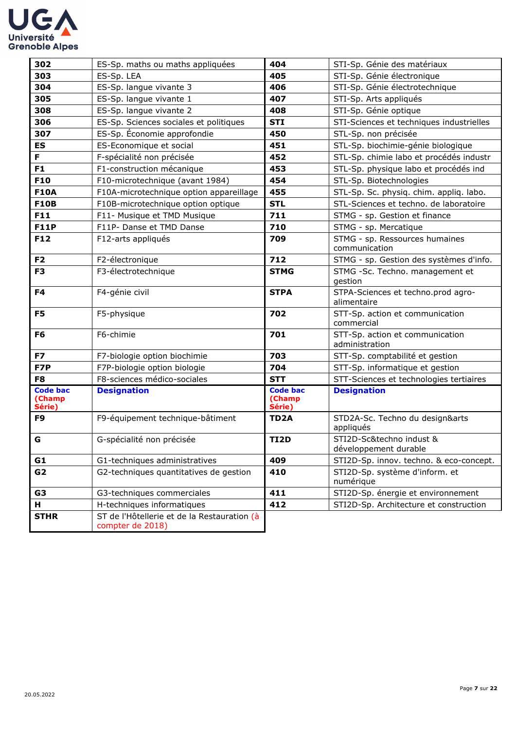

| 302                                 | ES-Sp. maths ou maths appliquées                                | 404                                   | STI-Sp. Génie des matériaux                       |
|-------------------------------------|-----------------------------------------------------------------|---------------------------------------|---------------------------------------------------|
| 303                                 | ES-Sp. LEA                                                      | 405                                   | STI-Sp. Génie électronique                        |
| 304                                 | ES-Sp. langue vivante 3                                         | 406<br>STI-Sp. Génie électrotechnique |                                                   |
| 305                                 | ES-Sp. langue vivante 1                                         | 407                                   | STI-Sp. Arts appliqués                            |
| 308                                 | 408<br>ES-Sp. langue vivante 2                                  |                                       | STI-Sp. Génie optique                             |
| 306                                 | ES-Sp. Sciences sociales et politiques                          | <b>STI</b>                            | STI-Sciences et techniques industrielles          |
| 307                                 | ES-Sp. Économie approfondie                                     | 450                                   | STL-Sp. non précisée                              |
| ES                                  | ES-Economique et social                                         | 451                                   | STL-Sp. biochimie-génie biologique                |
| F.                                  | F-spécialité non précisée                                       | 452                                   | STL-Sp. chimie labo et procédés industr           |
| F <sub>1</sub>                      | F1-construction mécanique                                       | 453                                   | STL-Sp. physique labo et procédés ind             |
| <b>F10</b>                          | F10-microtechnique (avant 1984)                                 | 454                                   | STL-Sp. Biotechnologies                           |
| <b>F10A</b>                         | F10A-microtechnique option appareillage                         | 455                                   | STL-Sp. Sc. physiq. chim. appliq. labo.           |
| <b>F10B</b>                         | F10B-microtechnique option optique                              | <b>STL</b>                            | STL-Sciences et techno. de laboratoire            |
| F11                                 | F11- Musique et TMD Musique                                     | 711                                   | STMG - sp. Gestion et finance                     |
| <b>F11P</b>                         | F11P- Danse et TMD Danse                                        | 710                                   | STMG - sp. Mercatique                             |
| F12                                 | F12-arts appliqués                                              | 709                                   | STMG - sp. Ressources humaines<br>communication   |
| F <sub>2</sub>                      | F2-électronique                                                 | 712                                   | STMG - sp. Gestion des systèmes d'info.           |
| F <sub>3</sub>                      | F3-électrotechnique                                             | <b>STMG</b>                           | STMG -Sc. Techno. management et<br>gestion        |
| F4                                  | F4-génie civil                                                  | <b>STPA</b>                           | STPA-Sciences et techno.prod agro-<br>alimentaire |
| F <sub>5</sub>                      | F5-physique                                                     | 702                                   | STT-Sp. action et communication<br>commercial     |
| F <sub>6</sub>                      | F6-chimie                                                       | 701                                   | STT-Sp. action et communication<br>administration |
| F7                                  | F7-biologie option biochimie                                    | 703                                   | STT-Sp. comptabilité et gestion                   |
| F7P                                 | F7P-biologie option biologie                                    | 704                                   | STT-Sp. informatique et gestion                   |
| F8                                  | F8-sciences médico-sociales                                     | <b>STT</b>                            | STT-Sciences et technologies tertiaires           |
| <b>Code bac</b><br>(Champ<br>Série) | <b>Designation</b>                                              | <b>Code bac</b><br>(Champ<br>Série)   | <b>Designation</b>                                |
| F9                                  | F9-équipement technique-bâtiment                                | TD <sub>2</sub> A                     | STD2A-Sc. Techno du design&arts<br>appliqués      |
| G                                   | G-spécialité non précisée                                       | <b>TI2D</b>                           | STI2D-Sc&techno indust &<br>développement durable |
| G1                                  | G1-techniques administratives                                   | 409                                   | STI2D-Sp. innov. techno. & eco-concept.           |
| G2                                  | G2-techniques quantitatives de gestion                          | 410                                   | STI2D-Sp. système d'inform. et<br>numérique       |
| G3                                  | G3-techniques commerciales                                      | 411                                   | STI2D-Sp. énergie et environnement                |
| н.                                  | H-techniques informatiques                                      | 412                                   | STI2D-Sp. Architecture et construction            |
| <b>STHR</b>                         | ST de l'Hôtellerie et de la Restauration (à<br>compter de 2018) |                                       |                                                   |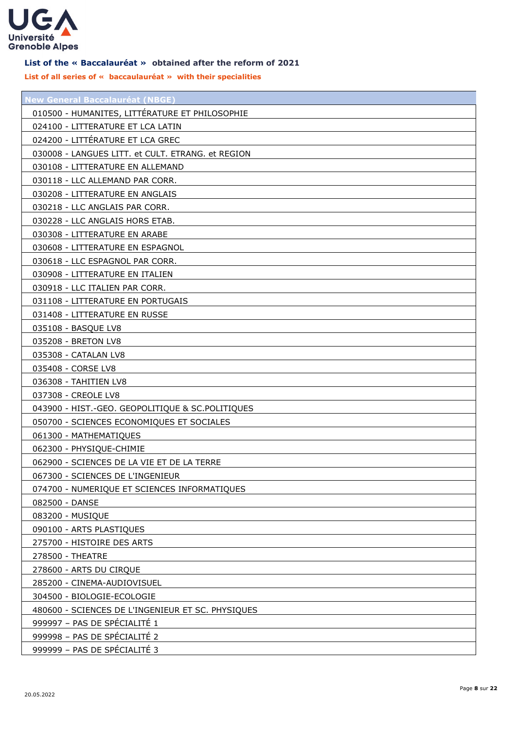

#### <span id="page-7-0"></span>**List of the « Baccalauréat » obtained after the reform of 2021**

**List of all series of « baccaulauréat » with their specialities**

| New General Baccalauréat (NBGE)                   |
|---------------------------------------------------|
| 010500 - HUMANITES, LITTÉRATURE ET PHILOSOPHIE    |
| 024100 - LITTERATURE ET LCA LATIN                 |
| 024200 - LITTÉRATURE ET LCA GREC                  |
| 030008 - LANGUES LITT. et CULT. ETRANG. et REGION |
| 030108 - LITTERATURE EN ALLEMAND                  |
| 030118 - LLC ALLEMAND PAR CORR.                   |
| 030208 - LITTERATURE EN ANGLAIS                   |
| 030218 - LLC ANGLAIS PAR CORR.                    |
| 030228 - LLC ANGLAIS HORS ETAB.                   |
| 030308 - LITTERATURE EN ARABE                     |
| 030608 - LITTERATURE EN ESPAGNOL                  |
| 030618 - LLC ESPAGNOL PAR CORR.                   |
| 030908 - LITTERATURE EN ITALIEN                   |
| 030918 - LLC ITALIEN PAR CORR.                    |
| 031108 - LITTERATURE EN PORTUGAIS                 |
| 031408 - LITTERATURE EN RUSSE                     |
| 035108 - BASQUE LV8                               |
| 035208 - BRETON LV8                               |
| 035308 - CATALAN LV8                              |
| 035408 - CORSE LV8                                |
| 036308 - TAHITIEN LV8                             |
| 037308 - CREOLE LV8                               |
| 043900 - HIST.-GEO. GEOPOLITIQUE & SC.POLITIQUES  |
| 050700 - SCIENCES ECONOMIQUES ET SOCIALES         |
| 061300 - MATHEMATIQUES                            |
| 062300 - PHYSIQUE-CHIMIE                          |
| 062900 - SCIENCES DE LA VIE ET DE LA TERRE        |
| 067300 - SCIENCES DE L'INGENIEUR                  |
| 074700 - NUMERIQUE ET SCIENCES INFORMATIQUES      |
| 082500 - DANSE                                    |
| 083200 - MUSIQUE                                  |
| 090100 - ARTS PLASTIQUES                          |
| 275700 - HISTOIRE DES ARTS                        |
| 278500 - THEATRE                                  |
| 278600 - ARTS DU CIRQUE                           |
| 285200 - CINEMA-AUDIOVISUEL                       |
| 304500 - BIOLOGIE-ECOLOGIE                        |
| 480600 - SCIENCES DE L'INGENIEUR ET SC. PHYSIQUES |
| 999997 - PAS DE SPÉCIALITÉ 1                      |
| 999998 - PAS DE SPÉCIALITÉ 2                      |
| 999999 - PAS DE SPÉCIALITÉ 3                      |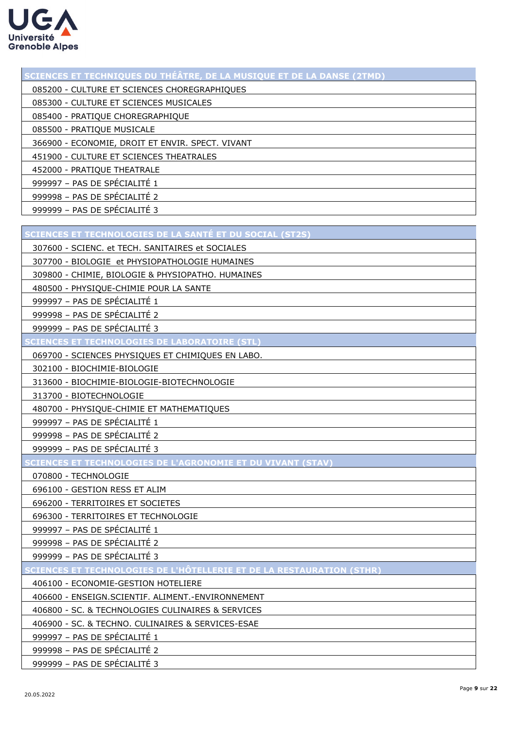

| SCIENCES ET TECHNIQUES DU THÉÂTRE, DE LA MUSIQUE ET DE LA DANSE (2TMD) |
|------------------------------------------------------------------------|
| 085200 - CULTURE ET SCIENCES CHOREGRAPHIQUES                           |
| 085300 - CULTURE ET SCIENCES MUSICALES                                 |
| 085400 - PRATIQUE CHOREGRAPHIQUE                                       |
| 085500 - PRATIQUE MUSICALE                                             |
| 366900 - ECONOMIE, DROIT ET ENVIR. SPECT. VIVANT                       |
| 451900 - CULTURE ET SCIENCES THEATRALES                                |
| 452000 - PRATIQUE THEATRALE                                            |
| 999997 - PAS DE SPÉCIALITÉ 1                                           |
| 999998 - PAS DE SPÉCIALITÉ 2                                           |
| 999999 - PAS DE SPÉCIALITÉ 3                                           |
|                                                                        |
| SCIENCES ET TECHNOLOGIES DE LA SANTÉ ET DU SOCIAL (ST2S)               |
| 307600 - SCIENC. et TECH. SANITAIRES et SOCIALES                       |
| 307700 - BIOLOGIE et PHYSIOPATHOLOGIE HUMAINES                         |
| 309800 - CHIMIE, BIOLOGIE & PHYSIOPATHO. HUMAINES                      |
| 480500 - PHYSIQUE-CHIMIE POUR LA SANTE                                 |
| 999997 - PAS DE SPÉCIALITÉ 1                                           |
| 999998 - PAS DE SPÉCIALITÉ 2                                           |
| 999999 - PAS DE SPÉCIALITÉ 3                                           |
| <b>SCIENCES ET TECHNOLOGIES DE LABORATOIRE (STL)</b>                   |
| 069700 - SCIENCES PHYSIQUES ET CHIMIQUES EN LABO.                      |
| 302100 - BIOCHIMIE-BIOLOGIE                                            |
| 313600 - BIOCHIMIE-BIOLOGIE-BIOTECHNOLOGIE                             |
| 313700 - BIOTECHNOLOGIE                                                |
| 480700 - PHYSIQUE-CHIMIE ET MATHEMATIQUES                              |
| 999997 - PAS DE SPÉCIALITÉ 1                                           |
| 999998 - PAS DE SPÉCIALITÉ 2                                           |
| 999999 - PAS DE SPÉCIALITÉ 3                                           |
| SCIENCES ET TECHNOLOGIES DE L'AGRONOMIE ET DU VIVANT (STAV) A L'A      |
| 070800 - TECHNOLOGIE                                                   |
| 696100 - GESTION RESS ET ALIM                                          |
| 696200 - TERRITOIRES ET SOCIETES                                       |
| 696300 - TERRITOIRES ET TECHNOLOGIE                                    |
| 999997 - PAS DE SPÉCIALITÉ 1                                           |
| 999998 - PAS DE SPÉCIALITÉ 2                                           |
| 999999 - PAS DE SPÉCIALITÉ 3                                           |
| SCIENCES ET TECHNOLOGIES DE L'HÔTELLERIE ET DE LA RESTAURATION (STHR)  |
| 406100 - ECONOMIE-GESTION HOTELIERE                                    |
| 406600 - ENSEIGN.SCIENTIF. ALIMENT.-ENVIRONNEMENT                      |
| 406800 - SC. & TECHNOLOGIES CULINAIRES & SERVICES                      |
| 406900 - SC. & TECHNO. CULINAIRES & SERVICES-ESAE                      |
| 999997 - PAS DE SPÉCIALITÉ 1                                           |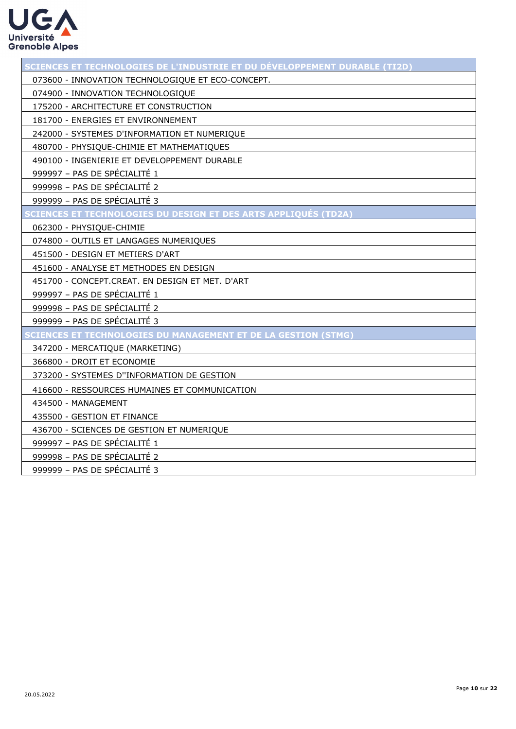

| SCIENCES ET TECHNOLOGIES DE L'INDUSTRIE ET DU DÉVELOPPEMENT DURABLE (TI2D) |
|----------------------------------------------------------------------------|
| 073600 - INNOVATION TECHNOLOGIQUE ET ECO-CONCEPT.                          |
| 074900 - INNOVATION TECHNOLOGIQUE                                          |
| 175200 - ARCHITECTURE ET CONSTRUCTION                                      |
| 181700 - ENERGIES ET ENVIRONNEMENT                                         |
| 242000 - SYSTEMES D'INFORMATION ET NUMERIQUE                               |
| 480700 - PHYSIQUE-CHIMIE ET MATHEMATIQUES                                  |
| 490100 - INGENIERIE ET DEVELOPPEMENT DURABLE                               |
| 999997 - PAS DE SPÉCIALITÉ 1                                               |
| 999998 - PAS DE SPÉCIALITÉ 2                                               |
| 999999 - PAS DE SPÉCIALITÉ 3                                               |
| <u>CIENCES ET TECHNOLOGIES DU DESIGN ET DES ARTS APPLIQUÉS (TD2A)</u>      |
| 062300 - PHYSIQUE-CHIMIE                                                   |
| 074800 - OUTILS ET LANGAGES NUMERIQUES                                     |
| 451500 - DESIGN ET METIERS D'ART                                           |
| 451600 - ANALYSE ET METHODES EN DESIGN                                     |
| 451700 - CONCEPT.CREAT. EN DESIGN ET MET. D'ART                            |
| 999997 - PAS DE SPÉCIALITÉ 1                                               |
| 999998 - PAS DE SPÉCIALITÉ 2                                               |
| 999999 - PAS DE SPÉCIALITÉ 3                                               |
| CIENCES ET TECHNOLOGIES DU MANAGEMENT ET DE LA GESTION (STMG)              |
| 347200 - MERCATIQUE (MARKETING)                                            |
| 366800 - DROIT ET ECONOMIE                                                 |
| 373200 - SYSTEMES D"INFORMATION DE GESTION                                 |
| 416600 - RESSOURCES HUMAINES ET COMMUNICATION                              |
| 434500 - MANAGEMENT                                                        |
| 435500 - GESTION ET FINANCE                                                |
| 436700 - SCIENCES DE GESTION ET NUMERIQUE                                  |
| 999997 - PAS DE SPÉCIALITÉ 1                                               |
| 999998 - PAS DE SPÉCIALITÉ 2                                               |
| 999999 - PAS DE SPÉCIALITÉ 3                                               |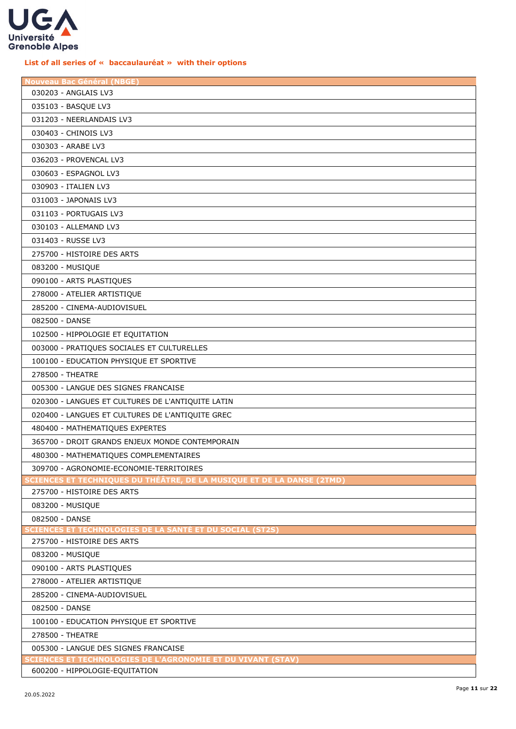

## **List of all series of « baccaulauréat » with their options**

| <b>Nouveau Bac Général (NBGE)</b>                                                                    |
|------------------------------------------------------------------------------------------------------|
| 030203 - ANGLAIS LV3                                                                                 |
| 035103 - BASQUE LV3                                                                                  |
| 031203 - NEERLANDAIS LV3                                                                             |
| 030403 - CHINOIS LV3                                                                                 |
| 030303 - ARABE LV3                                                                                   |
| 036203 - PROVENCAL LV3                                                                               |
| 030603 - ESPAGNOL LV3                                                                                |
| 030903 - ITALIEN LV3                                                                                 |
| 031003 - JAPONAIS LV3                                                                                |
| 031103 - PORTUGAIS LV3                                                                               |
| 030103 - ALLEMAND LV3                                                                                |
| 031403 - RUSSE LV3                                                                                   |
| 275700 - HISTOIRE DES ARTS                                                                           |
| 083200 - MUSIQUE                                                                                     |
| 090100 - ARTS PLASTIQUES                                                                             |
| 278000 - ATELIER ARTISTIQUE                                                                          |
| 285200 - CINEMA-AUDIOVISUEL                                                                          |
| 082500 - DANSE                                                                                       |
| 102500 - HIPPOLOGIE ET EQUITATION                                                                    |
| 003000 - PRATIQUES SOCIALES ET CULTURELLES                                                           |
| 100100 - EDUCATION PHYSIQUE ET SPORTIVE                                                              |
| 278500 - THEATRE                                                                                     |
| 005300 - LANGUE DES SIGNES FRANCAISE                                                                 |
| 020300 - LANGUES ET CULTURES DE L'ANTIQUITE LATIN                                                    |
| 020400 - LANGUES ET CULTURES DE L'ANTIQUITE GREC                                                     |
| 480400 - MATHEMATIQUES EXPERTES                                                                      |
| 365700 - DROIT GRANDS ENJEUX MONDE CONTEMPORAIN                                                      |
| 480300 - MATHEMATIQUES COMPLEMENTAIRES                                                               |
| 309700 - AGRONOMIE-ECONOMIE-TERRITOIRES                                                              |
| CIENCES ET TECHNIQUES DU THÉÂTRE, DE LA MUSIQUE ET DE LA DANSE (2TMD)                                |
| 275700 - HISTOIRE DES ARTS                                                                           |
| 083200 - MUSIQUE                                                                                     |
| 082500 - DANSE                                                                                       |
| SCIENCES ET TECHNOLOGIES DE LA SANTÉ ET DU SOCIAL (ST2S)                                             |
| 275700 - HISTOIRE DES ARTS                                                                           |
| 083200 - MUSIQUE                                                                                     |
| 090100 - ARTS PLASTIQUES                                                                             |
| 278000 - ATELIER ARTISTIQUE                                                                          |
| 285200 - CINEMA-AUDIOVISUEL                                                                          |
| 082500 - DANSE                                                                                       |
| 100100 - EDUCATION PHYSIQUE ET SPORTIVE                                                              |
| 278500 - THEATRE                                                                                     |
| 005300 - LANGUE DES SIGNES FRANCAISE                                                                 |
| <b>SCIENCES ET TECHNOLOGIES DE L'AGRONOMIE ET DU VIVANT (STAV)</b><br>600200 - HIPPOLOGIE-EQUITATION |
|                                                                                                      |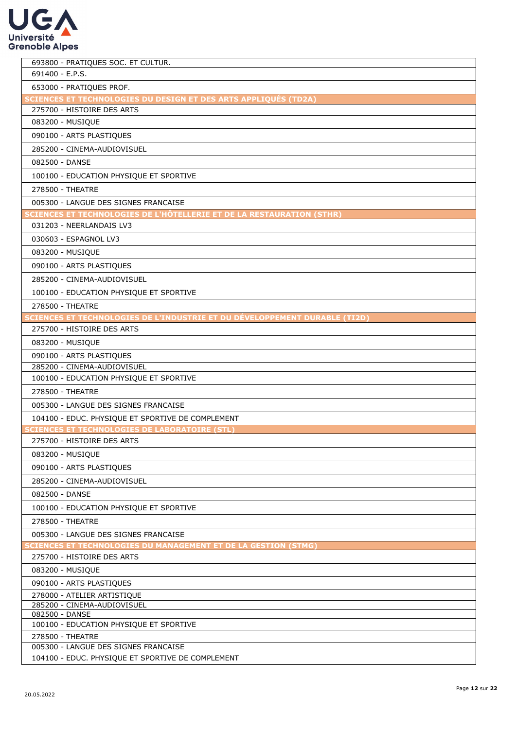

| 693800 - PRATIQUES SOC. ET CULTUR.                                                                |
|---------------------------------------------------------------------------------------------------|
| 691400 - E.P.S.                                                                                   |
| 653000 - PRATIQUES PROF.                                                                          |
| SCIENCES ET TECHNOLOGIES DU DESIGN ET DES ARTS APPLIQUÉS (TD2A)                                   |
| 275700 - HISTOIRE DES ARTS                                                                        |
| 083200 - MUSIQUE                                                                                  |
| 090100 - ARTS PLASTIQUES                                                                          |
| 285200 - CINEMA-AUDIOVISUEL                                                                       |
| 082500 - DANSE                                                                                    |
| 100100 - EDUCATION PHYSIQUE ET SPORTIVE                                                           |
| 278500 - THEATRE                                                                                  |
|                                                                                                   |
| 005300 - LANGUE DES SIGNES FRANCAISE                                                              |
| SCIENCES ET TECHNOLOGIES DE L'HÔTELLERIE ET DE LA RESTAURATION (STHR)<br>031203 - NEERLANDAIS LV3 |
|                                                                                                   |
| 030603 - ESPAGNOL LV3                                                                             |
| 083200 - MUSIQUE                                                                                  |
| 090100 - ARTS PLASTIQUES                                                                          |
| 285200 - CINEMA-AUDIOVISUEL                                                                       |
| 100100 - EDUCATION PHYSIQUE ET SPORTIVE                                                           |
| 278500 - THEATRE                                                                                  |
| SCIENCES ET TECHNOLOGIES DE L'INDUSTRIE ET DU DÉVELOPPEMENT DURABLE (TI2D)                        |
| 275700 - HISTOIRE DES ARTS                                                                        |
| 083200 - MUSIQUE                                                                                  |
| 090100 - ARTS PLASTIQUES                                                                          |
| 285200 - CINEMA-AUDIOVISUEL                                                                       |
| 100100 - EDUCATION PHYSIQUE ET SPORTIVE                                                           |
| 278500 - THEATRE                                                                                  |
| 005300 - LANGUE DES SIGNES FRANCAISE                                                              |
| 104100 - EDUC. PHYSIQUE ET SPORTIVE DE COMPLEMENT                                                 |
| <b>SCIENCES ET TECHNOLOGIES DE LABORATOIRE (STL)</b>                                              |
| 275700 - HISTOIRE DES ARTS                                                                        |
| 083200 - MUSIQUE                                                                                  |
| 090100 - ARTS PLASTIQUES                                                                          |
|                                                                                                   |
| 285200 - CINEMA-AUDIOVISUEL                                                                       |
| 082500 - DANSE                                                                                    |
| 100100 - EDUCATION PHYSIQUE ET SPORTIVE                                                           |
| 278500 - THEATRE                                                                                  |
| 005300 - LANGUE DES SIGNES FRANCAISE                                                              |
| <b>CIENCES ET TECHNOLOGIES DU MANAGEMENT ET DE LA GESTION (STMG)</b>                              |
| 275700 - HISTOIRE DES ARTS                                                                        |
| 083200 - MUSIQUE                                                                                  |
| 090100 - ARTS PLASTIQUES                                                                          |
| 278000 - ATELIER ARTISTIQUE                                                                       |
| 285200 - CINEMA-AUDIOVISUEL                                                                       |
| 082500 - DANSE<br>100100 - EDUCATION PHYSIQUE ET SPORTIVE                                         |
| 278500 - THEATRE                                                                                  |
| 005300 - LANGUE DES SIGNES FRANCAISE                                                              |
| 104100 - EDUC. PHYSIQUE ET SPORTIVE DE COMPLEMENT                                                 |
|                                                                                                   |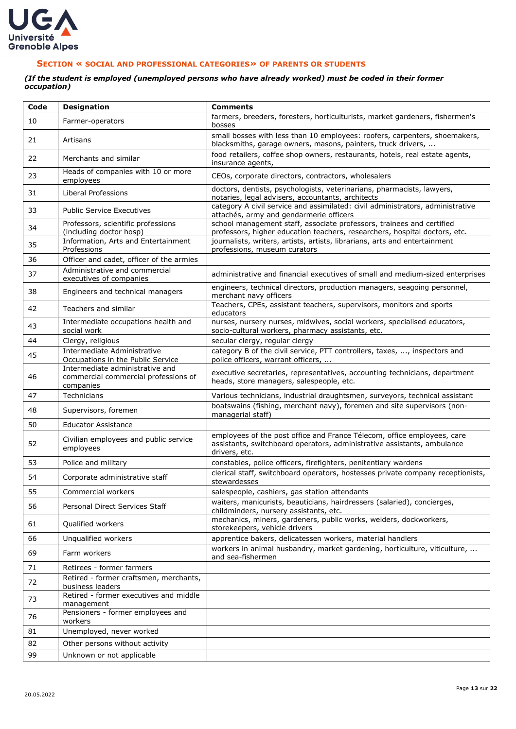

## <span id="page-12-0"></span>**SECTION « SOCIAL AND PROFESSIONAL CATEGORIES» OF PARENTS OR STUDENTS**

#### *(If the student is employed (unemployed persons who have already worked) must be coded in their former occupation)*

| Code | <b>Designation</b>                                                                   | <b>Comments</b>                                                                                                                                                     |
|------|--------------------------------------------------------------------------------------|---------------------------------------------------------------------------------------------------------------------------------------------------------------------|
| 10   | Farmer-operators                                                                     | farmers, breeders, foresters, horticulturists, market gardeners, fishermen's<br>bosses                                                                              |
| 21   | Artisans                                                                             | small bosses with less than 10 employees: roofers, carpenters, shoemakers,<br>blacksmiths, garage owners, masons, painters, truck drivers,                          |
| 22   | Merchants and similar                                                                | food retailers, coffee shop owners, restaurants, hotels, real estate agents,<br>insurance agents,                                                                   |
| 23   | Heads of companies with 10 or more<br>employees                                      | CEOs, corporate directors, contractors, wholesalers                                                                                                                 |
| 31   | Liberal Professions                                                                  | doctors, dentists, psychologists, veterinarians, pharmacists, lawyers,<br>notaries, legal advisers, accountants, architects                                         |
| 33   | <b>Public Service Executives</b>                                                     | category A civil service and assimilated: civil administrators, administrative<br>attachés, army and gendarmerie officers                                           |
| 34   | Professors, scientific professions<br>(including doctor hosp)                        | school management staff, associate professors, trainees and certified<br>professors, higher education teachers, researchers, hospital doctors, etc.                 |
| 35   | Information, Arts and Entertainment<br>Professions                                   | journalists, writers, artists, artists, librarians, arts and entertainment<br>professions, museum curators                                                          |
| 36   | Officer and cadet, officer of the armies                                             |                                                                                                                                                                     |
| 37   | Administrative and commercial<br>executives of companies                             | administrative and financial executives of small and medium-sized enterprises                                                                                       |
| 38   | Engineers and technical managers                                                     | engineers, technical directors, production managers, seagoing personnel,<br>merchant navy officers                                                                  |
| 42   | Teachers and similar                                                                 | Teachers, CPEs, assistant teachers, supervisors, monitors and sports<br>educators                                                                                   |
| 43   | Intermediate occupations health and<br>social work                                   | nurses, nursery nurses, midwives, social workers, specialised educators,<br>socio-cultural workers, pharmacy assistants, etc.                                       |
| 44   | Clergy, religious                                                                    | secular clergy, regular clergy                                                                                                                                      |
| 45   | Intermediate Administrative<br>Occupations in the Public Service                     | category B of the civil service, PTT controllers, taxes, , inspectors and<br>police officers, warrant officers,                                                     |
| 46   | Intermediate administrative and<br>commercial commercial professions of<br>companies | executive secretaries, representatives, accounting technicians, department<br>heads, store managers, salespeople, etc.                                              |
| 47   | Technicians                                                                          | Various technicians, industrial draughtsmen, surveyors, technical assistant                                                                                         |
| 48   | Supervisors, foremen                                                                 | boatswains (fishing, merchant navy), foremen and site supervisors (non-<br>managerial staff)                                                                        |
| 50   | <b>Educator Assistance</b>                                                           |                                                                                                                                                                     |
| 52   | Civilian employees and public service<br>employees                                   | employees of the post office and France Télecom, office employees, care<br>assistants, switchboard operators, administrative assistants, ambulance<br>drivers, etc. |
| 53   | Police and military                                                                  | constables, police officers, firefighters, penitentiary wardens                                                                                                     |
| 54   | Corporate administrative staff                                                       | clerical staff, switchboard operators, hostesses private company receptionists,<br>stewardesses                                                                     |
| 55   | Commercial workers                                                                   | salespeople, cashiers, gas station attendants                                                                                                                       |
| 56   | Personal Direct Services Staff                                                       | waiters, manicurists, beauticians, hairdressers (salaried), concierges,<br>childminders, nursery assistants, etc.                                                   |
| 61   | Qualified workers                                                                    | mechanics, miners, gardeners, public works, welders, dockworkers,<br>storekeepers, vehicle drivers                                                                  |
| 66   | Unqualified workers                                                                  | apprentice bakers, delicatessen workers, material handlers                                                                                                          |
| 69   | Farm workers                                                                         | workers in animal husbandry, market gardening, horticulture, viticulture,<br>and sea-fishermen                                                                      |
| 71   | Retirees - former farmers                                                            |                                                                                                                                                                     |
| 72   | Retired - former craftsmen, merchants,<br>business leaders                           |                                                                                                                                                                     |
| 73   | Retired - former executives and middle<br>management                                 |                                                                                                                                                                     |
| 76   | Pensioners - former employees and<br>workers                                         |                                                                                                                                                                     |
| 81   | Unemployed, never worked                                                             |                                                                                                                                                                     |
| 82   | Other persons without activity                                                       |                                                                                                                                                                     |
| 99   | Unknown or not applicable                                                            |                                                                                                                                                                     |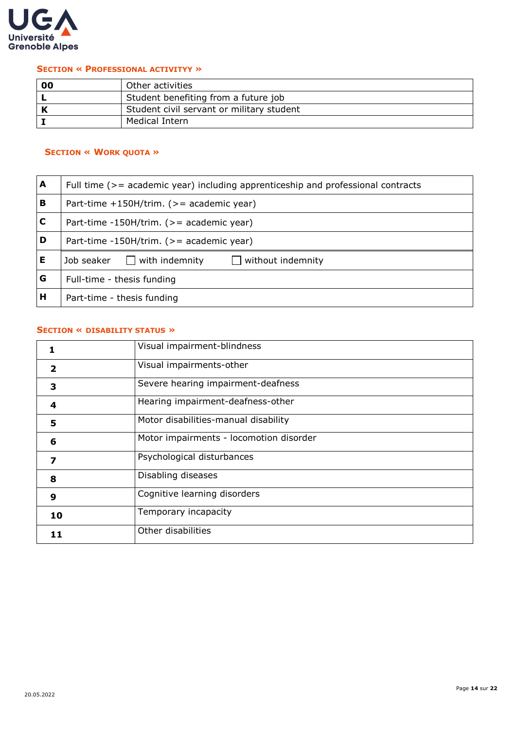

#### <span id="page-13-0"></span>**SECTION « PROFESSIONAL ACTIVITYY »**

| 00 | Other activities                          |
|----|-------------------------------------------|
|    | Student benefiting from a future job      |
|    | Student civil servant or military student |
|    | Medical Intern                            |

## <span id="page-13-1"></span>**SECTION « WORK QUOTA »**

| A           | Full time (>= academic year) including apprenticeship and professional contracts |  |  |
|-------------|----------------------------------------------------------------------------------|--|--|
| B           | Part-time $+150H/$ trim. (>= academic year)                                      |  |  |
| $\mathbf C$ | Part-time -150H/trim. $(>=$ academic year)                                       |  |  |
| D           | Part-time -150H/trim. (>= academic year)                                         |  |  |
| Е           | $\Box$ with indemnity<br>$\Box$ without indemnity<br>Job seaker                  |  |  |
| G           | Full-time - thesis funding                                                       |  |  |
| н           | Part-time - thesis funding                                                       |  |  |

## <span id="page-13-2"></span>**SECTION « DISABILITY STATUS »**

|                         | Visual impairment-blindness             |
|-------------------------|-----------------------------------------|
| $\overline{\mathbf{2}}$ | Visual impairments-other                |
| 3                       | Severe hearing impairment-deafness      |
| 4                       | Hearing impairment-deafness-other       |
| 5                       | Motor disabilities-manual disability    |
| 6                       | Motor impairments - locomotion disorder |
| 7                       | Psychological disturbances              |
| 8                       | Disabling diseases                      |
| 9                       | Cognitive learning disorders            |
| 10                      | Temporary incapacity                    |
| 11                      | Other disabilities                      |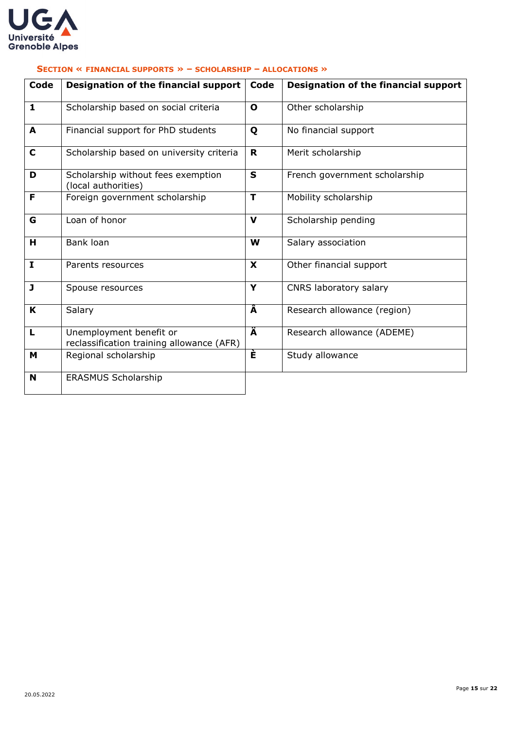

| Code         | Designation of the financial support                                 | Code         | Designation of the financial support |
|--------------|----------------------------------------------------------------------|--------------|--------------------------------------|
| 1            | Scholarship based on social criteria                                 | $\mathbf{o}$ | Other scholarship                    |
| A            | Financial support for PhD students                                   | Q            | No financial support                 |
| $\mathbf C$  | Scholarship based on university criteria                             | R.           | Merit scholarship                    |
| D            | Scholarship without fees exemption<br>(local authorities)            | $\mathbf{s}$ | French government scholarship        |
| F            | Foreign government scholarship                                       | T            | Mobility scholarship                 |
| G            | Loan of honor                                                        | $\mathbf v$  | Scholarship pending                  |
| H            | Bank loan                                                            | W            | Salary association                   |
| $\mathbf{I}$ | Parents resources                                                    | X            | Other financial support              |
| J            | Spouse resources                                                     | Y            | CNRS laboratory salary               |
| K            | Salary                                                               | Â            | Research allowance (region)          |
| L            | Unemployment benefit or<br>reclassification training allowance (AFR) | Ä            | Research allowance (ADEME)           |
| М            | Regional scholarship                                                 | È            | Study allowance                      |
| N            | <b>ERASMUS Scholarship</b>                                           |              |                                      |

## <span id="page-14-0"></span>**SECTION « FINANCIAL SUPPORTS » – SCHOLARSHIP – ALLOCATIONS »**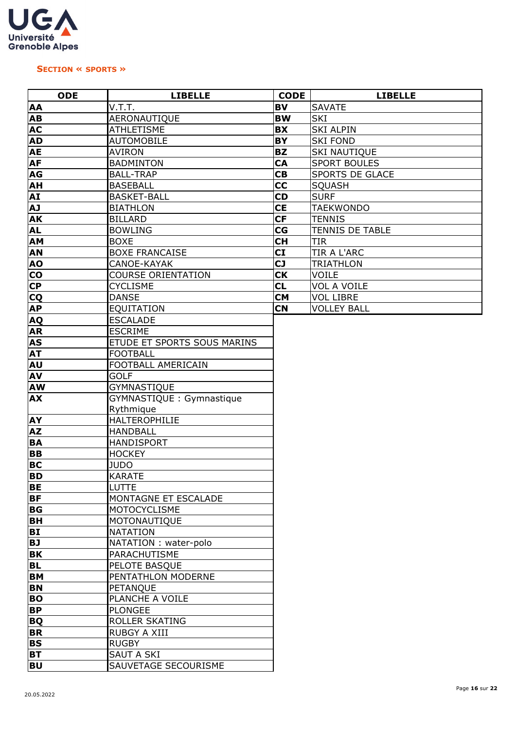

#### <span id="page-15-0"></span>**SECTION « SPORTS »**

| <b>ODE</b>     | <b>LIBELLE</b>              | <b>CODE</b> | <b>LIBELLE</b>         |
|----------------|-----------------------------|-------------|------------------------|
| AA             | V.T.T.                      | <b>BV</b>   | <b>SAVATE</b>          |
| AB             | AERONAUTIQUE                | <b>BW</b>   | SKI                    |
| <b>AC</b>      | <b>ATHLETISME</b>           | <b>BX</b>   | <b>SKI ALPIN</b>       |
| <b>AD</b>      | <b>AUTOMOBILE</b>           | BY          | <b>SKI FOND</b>        |
| <b>AE</b>      | <b>AVIRON</b>               | <b>BZ</b>   | <b>SKI NAUTIQUE</b>    |
| <b>AF</b>      | <b>BADMINTON</b>            | CA          | <b>SPORT BOULES</b>    |
| AG             | <b>BALL-TRAP</b>            | CB          | <b>SPORTS DE GLACE</b> |
| AH             | <b>BASEBALL</b>             | cc          | <b>SQUASH</b>          |
| AI             | <b>BASKET-BALL</b>          | <b>CD</b>   | <b>SURF</b>            |
| LA             | <b>BIATHLON</b>             | <b>CE</b>   | <b>TAEKWONDO</b>       |
| <b>AK</b>      | <b>BILLARD</b>              | <b>CF</b>   | <b>TENNIS</b>          |
| <b>AL</b>      | <b>BOWLING</b>              | CG          | TENNIS DE TABLE        |
| AM             | <b>BOXE</b>                 | <b>CH</b>   | <b>TIR</b>             |
| <b>AN</b>      | <b>BOXE FRANCAISE</b>       | CI          | TIR A L'ARC            |
| <b>AO</b>      | CANOE-KAYAK                 | <b>CJ</b>   | <b>TRIATHLON</b>       |
| $\mathbf{CO}$  | <b>COURSE ORIENTATION</b>   | <b>CK</b>   | <b>VOILE</b>           |
| <b>CP</b>      | <b>CYCLISME</b>             | <b>CL</b>   | <b>VOL A VOILE</b>     |
| CQ             | <b>DANSE</b>                | CM          | <b>VOL LIBRE</b>       |
| <b>AP</b>      | EQUITATION                  | <b>CN</b>   | <b>VOLLEY BALL</b>     |
| <b>AQ</b>      | <b>ESCALADE</b>             |             |                        |
| <b>AR</b>      | <b>ESCRIME</b>              |             |                        |
| <b>AS</b>      | ETUDE ET SPORTS SOUS MARINS |             |                        |
| <b>AT</b>      | <b>FOOTBALL</b>             |             |                        |
| <b>AU</b>      | FOOTBALL AMERICAIN          |             |                        |
| AV             | <b>GOLF</b>                 |             |                        |
| <b>AW</b>      | GYMNASTIQUE                 |             |                        |
| <b>AX</b>      | GYMNASTIQUE: Gymnastique    |             |                        |
|                | Rythmique                   |             |                        |
| <b>AY</b>      | HALTEROPHILIE               |             |                        |
| <b>AZ</b>      | <b>HANDBALL</b>             |             |                        |
| <b>BA</b>      | <b>HANDISPORT</b>           |             |                        |
| <b>BB</b>      | <b>HOCKEY</b>               |             |                        |
| <b>BC</b>      | <b>JUDO</b>                 |             |                        |
| <b>BD</b>      | <b>KARATE</b>               |             |                        |
| <b>BE</b>      | LUTTE                       |             |                        |
| <b>BF</b>      | MONTAGNE ET ESCALADE        |             |                        |
| BG             | <b>MOTOCYCLISME</b>         |             |                        |
| <b>BH</b>      | MOTONAUTIQUE                |             |                        |
| B <sub>I</sub> | <b>NATATION</b>             |             |                        |
| <b>BJ</b>      | NATATION : water-polo       |             |                        |
| <b>BK</b>      | PARACHUTISME                |             |                        |
| <b>BL</b>      | PELOTE BASQUE               |             |                        |
| <b>BM</b>      | PENTATHLON MODERNE          |             |                        |
| <b>BN</b>      | PETANQUE                    |             |                        |
| <b>BO</b>      | PLANCHE A VOILE             |             |                        |
| <b>BP</b>      | <b>PLONGEE</b>              |             |                        |
| <b>BQ</b>      | ROLLER SKATING              |             |                        |
| <b>BR</b>      | <b>RUBGY A XIII</b>         |             |                        |
| <b>BS</b>      | <b>RUGBY</b>                |             |                        |
| <b>BT</b>      | <b>SAUT A SKI</b>           |             |                        |
| <b>BU</b>      | SAUVETAGE SECOURISME        |             |                        |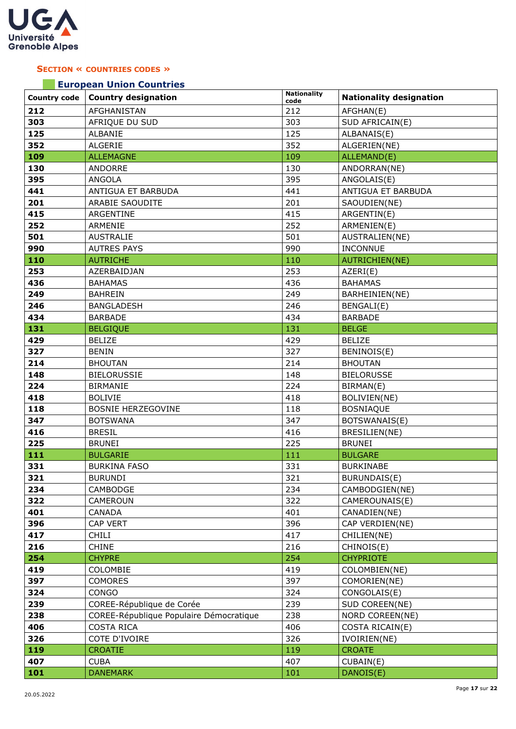

## <span id="page-16-0"></span>**SECTION « COUNTRIES CODES »**

## **European Union Countries**

| <b>Country code</b> | <b>Country designation</b>              | <b>Nationality</b><br>code | <b>Nationality designation</b> |
|---------------------|-----------------------------------------|----------------------------|--------------------------------|
| 212                 | AFGHANISTAN                             | 212                        | AFGHAN(E)                      |
| 303                 | AFRIQUE DU SUD                          | 303                        | SUD AFRICAIN(E)                |
| 125                 | ALBANIE                                 | 125                        | ALBANAIS(E)                    |
| 352                 | <b>ALGERIE</b>                          | 352                        | ALGERIEN(NE)                   |
| 109                 | <b>ALLEMAGNE</b>                        | 109                        | ALLEMAND(E)                    |
| 130                 | ANDORRE                                 | 130                        | ANDORRAN(NE)                   |
| 395                 | ANGOLA                                  | 395                        | ANGOLAIS(E)                    |
| 441                 | ANTIGUA ET BARBUDA                      | 441                        | ANTIGUA ET BARBUDA             |
| 201                 | ARABIE SAOUDITE                         | 201                        | SAOUDIEN(NE)                   |
| 415                 | ARGENTINE                               | 415                        | ARGENTIN(E)                    |
| 252                 | ARMENIE                                 | 252                        | ARMENIEN(E)                    |
| 501                 | <b>AUSTRALIE</b>                        | 501                        | AUSTRALIEN(NE)                 |
| 990                 | <b>AUTRES PAYS</b>                      | 990                        | <b>INCONNUE</b>                |
| 110                 | <b>AUTRICHE</b>                         | 110                        | AUTRICHIEN(NE)                 |
| 253                 | AZERBAIDJAN                             | 253                        | AZERI(E)                       |
| 436                 | <b>BAHAMAS</b>                          | 436                        | <b>BAHAMAS</b>                 |
| 249                 | <b>BAHREIN</b>                          | 249                        | BARHEINIEN(NE)                 |
| 246                 | BANGLADESH                              | 246                        | BENGALI(E)                     |
| 434                 | <b>BARBADE</b>                          | 434                        | <b>BARBADE</b>                 |
| 131                 | <b>BELGIQUE</b>                         | 131                        | <b>BELGE</b>                   |
| 429                 | <b>BELIZE</b>                           | 429                        | <b>BELIZE</b>                  |
| 327                 | <b>BENIN</b>                            | 327                        | BENINOIS(E)                    |
| 214                 | <b>BHOUTAN</b>                          | 214                        | <b>BHOUTAN</b>                 |
| 148                 | <b>BIELORUSSIE</b>                      | 148                        | <b>BIELORUSSE</b>              |
| 224                 | <b>BIRMANIE</b>                         | 224                        | BIRMAN(E)                      |
| 418                 | <b>BOLIVIE</b>                          | 418                        | BOLIVIEN(NE)                   |
| 118                 | <b>BOSNIE HERZEGOVINE</b>               | 118                        | <b>BOSNIAQUE</b>               |
| 347                 | <b>BOTSWANA</b>                         | 347                        | BOTSWANAIS(E)                  |
| 416                 | <b>BRESIL</b>                           | 416                        | BRESILIEN(NE)                  |
| 225                 | <b>BRUNEI</b>                           | 225                        | <b>BRUNEI</b>                  |
| 111                 | <b>BULGARIE</b>                         | 111                        | <b>BULGARE</b>                 |
| 331                 | <b>BURKINA FASO</b>                     | 331                        | <b>BURKINABE</b>               |
| 321                 | <b>BURUNDI</b>                          | 321                        | BURUNDAIS(E)                   |
| 234                 | CAMBODGE                                | 234                        | CAMBODGIEN(NE)                 |
| 322                 | CAMEROUN                                | 322                        | CAMEROUNAIS(E)                 |
| 401                 | CANADA                                  | 401                        | CANADIEN(NE)                   |
| 396                 | CAP VERT                                | 396                        | CAP VERDIEN(NE)                |
| 417                 | <b>CHILI</b>                            | 417                        | CHILIEN(NE)                    |
| 216                 | <b>CHINE</b>                            | 216                        | CHINOIS(E)                     |
| 254                 | <b>CHYPRE</b>                           | 254                        | <b>CHYPRIOTE</b>               |
| 419                 | COLOMBIE                                | 419                        | COLOMBIEN(NE)                  |
| 397                 | <b>COMORES</b>                          | 397                        | COMORIEN(NE)                   |
| 324                 | <b>CONGO</b>                            | 324                        | CONGOLAIS(E)                   |
| 239                 | COREE-République de Corée               | 239                        | SUD COREEN(NE)                 |
| 238                 | COREE-République Populaire Démocratique | 238                        | NORD COREEN(NE)                |
| 406                 | <b>COSTA RICA</b>                       | 406                        | COSTA RICAIN(E)                |
| 326                 | COTE D'IVOIRE                           | 326                        | IVOIRIEN(NE)                   |
| 119                 | <b>CROATIE</b>                          | 119                        | <b>CROATE</b>                  |
| 407                 | <b>CUBA</b>                             | 407                        | CUBAIN(E)                      |
| 101                 | <b>DANEMARK</b>                         | 101                        | DANOIS(E)                      |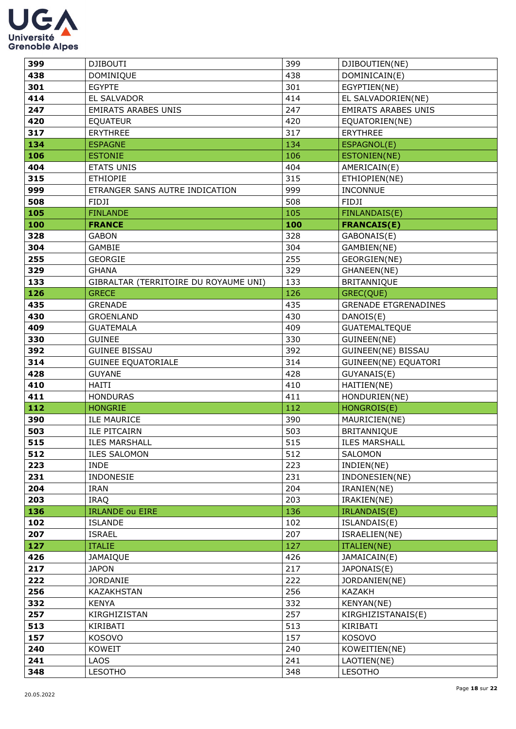

| 399 | <b>DJIBOUTI</b>                       | 399 | DJIBOUTIEN(NE)              |
|-----|---------------------------------------|-----|-----------------------------|
| 438 | <b>DOMINIQUE</b>                      | 438 | DOMINICAIN(E)               |
| 301 | <b>EGYPTE</b>                         | 301 | EGYPTIEN(NE)                |
| 414 | EL SALVADOR                           | 414 | EL SALVADORIEN(NE)          |
| 247 | <b>EMIRATS ARABES UNIS</b>            | 247 | <b>EMIRATS ARABES UNIS</b>  |
| 420 | <b>EQUATEUR</b>                       | 420 | EQUATORIEN(NE)              |
| 317 | <b>ERYTHREE</b>                       | 317 | <b>ERYTHREE</b>             |
| 134 | <b>ESPAGNE</b>                        | 134 | ESPAGNOL(E)                 |
| 106 | <b>ESTONIE</b>                        | 106 | ESTONIEN(NE)                |
| 404 | <b>ETATS UNIS</b>                     | 404 | AMERICAIN(E)                |
| 315 | <b>ETHIOPIE</b>                       | 315 | ETHIOPIEN(NE)               |
| 999 | ETRANGER SANS AUTRE INDICATION        | 999 | <b>INCONNUE</b>             |
| 508 | FIDJI                                 | 508 | <b>FIDJI</b>                |
| 105 | <b>FINLANDE</b>                       | 105 | FINLANDAIS(E)               |
| 100 | <b>FRANCE</b>                         | 100 | <b>FRANCAIS(E)</b>          |
| 328 | <b>GABON</b>                          | 328 | GABONAIS(E)                 |
| 304 | GAMBIE                                | 304 | GAMBIEN(NE)                 |
| 255 | <b>GEORGIE</b>                        | 255 | GEORGIEN(NE)                |
| 329 | <b>GHANA</b>                          | 329 | GHANEEN(NE)                 |
| 133 | GIBRALTAR (TERRITOIRE DU ROYAUME UNI) | 133 | BRITANNIQUE                 |
| 126 | <b>GRECE</b>                          | 126 | GREC(QUE)                   |
| 435 | <b>GRENADE</b>                        | 435 | <b>GRENADE ETGRENADINES</b> |
| 430 | <b>GROENLAND</b>                      | 430 | DANOIS(E)                   |
| 409 | <b>GUATEMALA</b>                      | 409 | <b>GUATEMALTEQUE</b>        |
| 330 | <b>GUINEE</b>                         | 330 | GUINEEN(NE)                 |
| 392 | <b>GUINEE BISSAU</b>                  | 392 | GUINEEN(NE) BISSAU          |
| 314 | <b>GUINEE EQUATORIALE</b>             | 314 | GUINEEN(NE) EQUATORI        |
| 428 | <b>GUYANE</b>                         | 428 | GUYANAIS(E)                 |
| 410 | <b>HAITI</b>                          | 410 | HAITIEN(NE)                 |
| 411 | <b>HONDURAS</b>                       | 411 | HONDURIEN(NE)               |
| 112 | <b>HONGRIE</b>                        | 112 | HONGROIS(E)                 |
| 390 | <b>ILE MAURICE</b>                    | 390 | MAURICIEN(NE)               |
| 503 | <b>ILE PITCAIRN</b>                   | 503 | BRITANNIQUE                 |
| 515 | <b>ILES MARSHALL</b>                  | 515 | <b>ILES MARSHALL</b>        |
| 512 | <b>ILES SALOMON</b>                   | 512 | SALOMON                     |
| 223 | <b>INDE</b>                           | 223 | INDIEN(NE)                  |
| 231 | INDONESIE                             | 231 | INDONESIEN(NE)              |
| 204 | IRAN                                  | 204 | IRANIEN(NE)                 |
| 203 | <b>IRAQ</b>                           | 203 | IRAKIEN(NE)                 |
| 136 | <b>IRLANDE ou EIRE</b>                | 136 | IRLANDAIS(E)                |
| 102 | <b>ISLANDE</b>                        | 102 | ISLANDAIS(E)                |
| 207 | <b>ISRAEL</b>                         | 207 | ISRAELIEN(NE)               |
| 127 | <b>ITALIE</b>                         | 127 | ITALIEN(NE)                 |
| 426 | JAMAIQUE                              | 426 | JAMAICAIN(E)                |
| 217 | <b>JAPON</b>                          | 217 | JAPONAIS(E)                 |
| 222 | <b>JORDANIE</b>                       | 222 | JORDANIEN(NE)               |
| 256 | KAZAKHSTAN                            | 256 | KAZAKH                      |
| 332 | <b>KENYA</b>                          | 332 | KENYAN(NE)                  |
| 257 | KIRGHIZISTAN                          | 257 | KIRGHIZISTANAIS(E)          |
| 513 | KIRIBATI                              | 513 | KIRIBATI                    |
| 157 | <b>KOSOVO</b>                         | 157 | KOSOVO                      |
| 240 | <b>KOWEIT</b>                         | 240 | KOWEITIEN(NE)               |
| 241 | <b>LAOS</b>                           | 241 | LAOTIEN(NE)                 |
| 348 | <b>LESOTHO</b>                        | 348 | <b>LESOTHO</b>              |
|     |                                       |     |                             |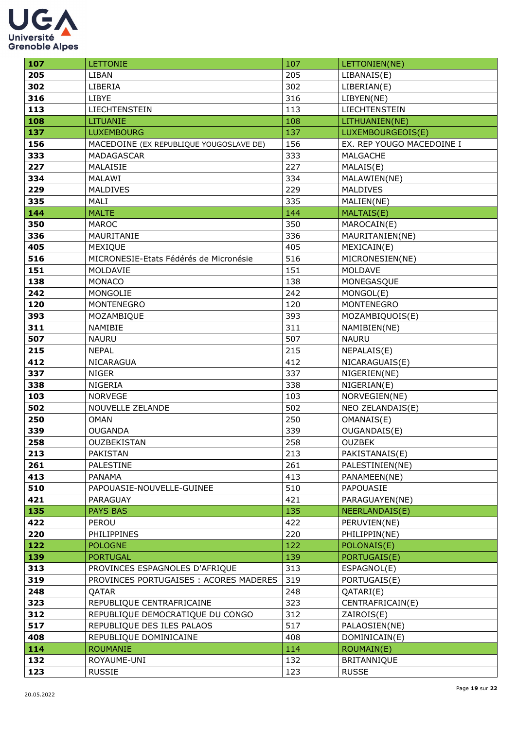

| 107        | <b>LETTONIE</b>                         | 107        | LETTONIEN(NE)                  |
|------------|-----------------------------------------|------------|--------------------------------|
| 205        | LIBAN                                   | 205        | LIBANAIS(E)                    |
| 302        | LIBERIA                                 | 302        | LIBERIAN(E)                    |
| 316        | LIBYE                                   | 316        | LIBYEN(NE)                     |
| 113        | LIECHTENSTEIN                           | 113        | LIECHTENSTEIN                  |
| 108        | <b>LITUANIE</b>                         | 108        | LITHUANIEN(NE)                 |
| 137        | <b>LUXEMBOURG</b>                       | 137        | LUXEMBOURGEOIS(E)              |
| 156        | MACEDOINE (EX REPUBLIQUE YOUGOSLAVE DE) | 156        | EX. REP YOUGO MACEDOINE I      |
| 333        | MADAGASCAR                              | 333        | MALGACHE                       |
| 227        | MALAISIE                                | 227        | MALAIS(E)                      |
| 334        | MALAWI                                  | 334        | MALAWIEN(NE)                   |
| 229        | <b>MALDIVES</b>                         | 229        | MALDIVES                       |
| 335        | MALI                                    | 335        | MALIEN(NE)                     |
| 144        | <b>MALTE</b>                            | 144        | MALTAIS(E)                     |
| 350        | <b>MAROC</b>                            | 350        | MAROCAIN(E)                    |
| 336        | MAURITANIE                              | 336        | MAURITANIEN(NE)                |
| 405        | MEXIQUE                                 | 405        | MEXICAIN(E)                    |
| 516        | MICRONESIE-Etats Fédérés de Micronésie  | 516        | MICRONESIEN(NE)                |
| 151        | MOLDAVIE                                | 151        | MOLDAVE                        |
| 138        | <b>MONACO</b>                           | 138        | MONEGASQUE                     |
| 242        | MONGOLIE                                | 242        | MONGOL(E)                      |
| 120        | MONTENEGRO                              | 120        | MONTENEGRO                     |
| 393        | MOZAMBIQUE                              | 393        | MOZAMBIQUOIS(E)                |
| 311        | NAMIBIE                                 | 311        | NAMIBIEN(NE)                   |
| 507        | <b>NAURU</b>                            | 507        | <b>NAURU</b>                   |
| 215        | <b>NEPAL</b>                            | 215        | NEPALAIS(E)                    |
| 412        | NICARAGUA                               | 412        | NICARAGUAIS(E)                 |
| 337        | <b>NIGER</b>                            | 337        | NIGERIEN(NE)                   |
| 338        | <b>NIGERIA</b>                          | 338        | NIGERIAN(E)                    |
| 103        | <b>NORVEGE</b>                          | 103        | NORVEGIEN(NE)                  |
| 502        | NOUVELLE ZELANDE                        | 502        | NEO ZELANDAIS(E)               |
| 250        | <b>OMAN</b>                             | 250        | OMANAIS(E)                     |
| 339        | <b>OUGANDA</b>                          | 339        | OUGANDAIS(E)                   |
| 258        | OUZBEKISTAN                             | 258        | <b>OUZBEK</b>                  |
| 213        | PAKISTAN                                | 213        | PAKISTANAIS(E)                 |
| 261        | PALESTINE                               | 261        | PALESTINIEN(NE)                |
| 413        | PANAMA                                  | 413        | PANAMEEN(NE)                   |
| 510        | PAPOUASIE-NOUVELLE-GUINEE               | 510        | PAPOUASIE                      |
| 421        | PARAGUAY                                | 421        | PARAGUAYEN(NE)                 |
| 135<br>422 | <b>PAYS BAS</b><br>PEROU                | 135<br>422 | NEERLANDAIS(E)<br>PERUVIEN(NE) |
| 220        | PHILIPPINES                             | 220        | PHILIPPIN(NE)                  |
| 122        | <b>POLOGNE</b>                          | 122        | POLONAIS(E)                    |
| 139        | <b>PORTUGAL</b>                         | 139        | PORTUGAIS(E)                   |
| 313        | PROVINCES ESPAGNOLES D'AFRIQUE          | 313        | ESPAGNOL(E)                    |
| 319        | PROVINCES PORTUGAISES : ACORES MADERES  | 319        | PORTUGAIS(E)                   |
| 248        | QATAR                                   | 248        | QATARI(E)                      |
| 323        | REPUBLIQUE CENTRAFRICAINE               | 323        | CENTRAFRICAIN(E)               |
| 312        | REPUBLIQUE DEMOCRATIQUE DU CONGO        | 312        | ZAIROIS(E)                     |
| 517        | REPUBLIQUE DES ILES PALAOS              | 517        | PALAOSIEN(NE)                  |
| 408        | REPUBLIQUE DOMINICAINE                  | 408        | DOMINICAIN(E)                  |
| 114        | <b>ROUMANIE</b>                         | 114        | <b>ROUMAIN(E)</b>              |
| 132        | ROYAUME-UNI                             | 132        | BRITANNIQUE                    |
| 123        | <b>RUSSIE</b>                           | 123        | <b>RUSSE</b>                   |
|            |                                         |            |                                |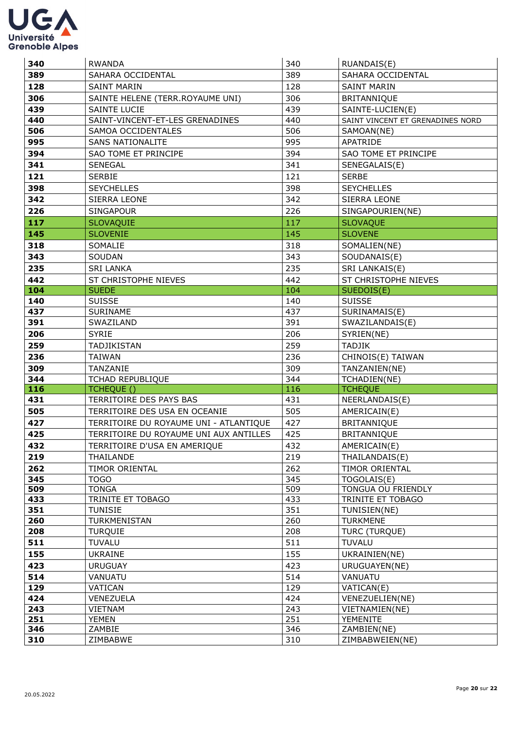

| 340        | <b>RWANDA</b>                          | 340        | RUANDAIS(E)                       |
|------------|----------------------------------------|------------|-----------------------------------|
| 389        | SAHARA OCCIDENTAL                      | 389        | SAHARA OCCIDENTAL                 |
| 128        | <b>SAINT MARIN</b>                     | 128        | <b>SAINT MARIN</b>                |
| 306        | SAINTE HELENE (TERR.ROYAUME UNI)       | 306        | <b>BRITANNIQUE</b>                |
| 439        | <b>SAINTE LUCIE</b>                    | 439        | SAINTE-LUCIEN(E)                  |
| 440        | SAINT-VINCENT-ET-LES GRENADINES        | 440        | SAINT VINCENT ET GRENADINES NORD  |
| 506        | SAMOA OCCIDENTALES                     | 506        | SAMOAN(NE)                        |
| 995        | <b>SANS NATIONALITE</b>                | 995        | APATRIDE                          |
| 394        | SAO TOME ET PRINCIPE                   | 394        | SAO TOME ET PRINCIPE              |
| 341        | <b>SENEGAL</b>                         | 341        | SENEGALAIS(E)                     |
| 121        | <b>SERBIE</b>                          | 121        | <b>SERBE</b>                      |
| 398        | <b>SEYCHELLES</b>                      | 398        | <b>SEYCHELLES</b>                 |
| 342        | <b>SIERRA LEONE</b>                    | 342        | SIERRA LEONE                      |
| 226        | <b>SINGAPOUR</b>                       | 226        | SINGAPOURIEN(NE)                  |
| 117        | <b>SLOVAQUIE</b>                       | 117        | <b>SLOVAQUE</b>                   |
| 145        | <b>SLOVENIE</b>                        | 145        | <b>SLOVENE</b>                    |
| 318        | SOMALIE                                | 318        | SOMALIEN(NE)                      |
| 343        | SOUDAN                                 | 343        | SOUDANAIS(E)                      |
| 235        | <b>SRI LANKA</b>                       | 235        | SRI LANKAIS(E)                    |
| 442        | ST CHRISTOPHE NIEVES                   | 442        | ST CHRISTOPHE NIEVES              |
| 104        | <b>SUEDE</b>                           | 104        | SUEDOIS(E)                        |
| 140        | <b>SUISSE</b>                          | 140        | <b>SUISSE</b>                     |
| 437        | SURINAME                               | 437        | SURINAMAIS(E)                     |
| 391        | SWAZILAND                              | 391        | SWAZILANDAIS(E)                   |
| 206        | <b>SYRIE</b>                           | 206        | SYRIEN(NE)                        |
| 259        | TADJIKISTAN                            | 259        | <b>TADJIK</b>                     |
| 236        | <b>TAIWAN</b>                          | 236        | CHINOIS(E) TAIWAN                 |
| 309        | TANZANIE                               | 309        | TANZANIEN(NE)                     |
| 344        | TCHAD REPUBLIQUE                       | 344        | TCHADIEN(NE)                      |
| 116        | TCHEQUE ()                             | 116        | <b>TCHEQUE</b>                    |
|            |                                        |            |                                   |
| 431        | TERRITOIRE DES PAYS BAS                | 431        | NEERLANDAIS(E)                    |
| 505        | TERRITOIRE DES USA EN OCEANIE          | 505        | AMERICAIN(E)                      |
| 427        | TERRITOIRE DU ROYAUME UNI - ATLANTIQUE | 427        | BRITANNIQUE                       |
| 425        | TERRITOIRE DU ROYAUME UNI AUX ANTILLES | 425        | BRITANNIQUE                       |
| 432        | TERRITOIRE D'USA EN AMERIQUE           | 432        | AMERICAIN(E)                      |
| 219        | THAILANDE                              | 219        | THAILANDAIS(E)                    |
| 262        | TIMOR ORIENTAL                         | 262        | TIMOR ORIENTAL                    |
| 345        | <b>TOGO</b>                            | 345        | TOGOLAIS(E)                       |
| 509        | <b>TONGA</b>                           | 509        | TONGUA OU FRIENDLY                |
| 433        | TRINITE ET TOBAGO                      | 433        | TRINITE ET TOBAGO                 |
| 351        | <b>TUNISIE</b>                         | 351        | TUNISIEN(NE)                      |
| 260        | TURKMENISTAN                           | 260        | <b>TURKMENE</b>                   |
| 208        | <b>TURQUIE</b>                         | 208        | TURC (TURQUE)                     |
| 511        | <b>TUVALU</b>                          | 511        | <b>TUVALU</b>                     |
| 155        | <b>UKRAINE</b>                         | 155        | UKRAINIEN(NE)                     |
| 423        | <b>URUGUAY</b>                         | 423        | URUGUAYEN(NE)                     |
| 514        | VANUATU                                | 514        | VANUATU                           |
| 129<br>424 | VATICAN<br>VENEZUELA                   | 129<br>424 | VATICAN(E)                        |
| 243        | <b>VIETNAM</b>                         | 243        | VENEZUELIEN(NE)<br>VIETNAMIEN(NE) |
| 251        | YEMEN                                  | 251        | <b>YEMENITE</b>                   |
| 346<br>310 | ZAMBIE<br>ZIMBABWE                     | 346<br>310 | ZAMBIEN(NE)<br>ZIMBABWEIEN(NE)    |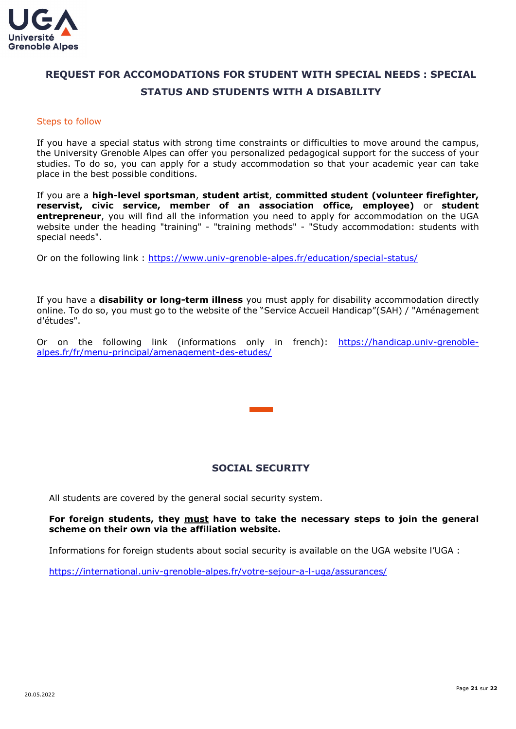

## <span id="page-20-0"></span>**REQUEST FOR ACCOMODATIONS FOR STUDENT WITH SPECIAL NEEDS : SPECIAL STATUS AND STUDENTS WITH A DISABILITY**

#### Steps to follow

If you have a special status with strong time constraints or difficulties to move around the campus, the University Grenoble Alpes can offer you personalized pedagogical support for the success of your studies. To do so, you can apply for a study accommodation so that your academic year can take place in the best possible conditions.

If you are a **high-level sportsman**, **student artist**, **committed student (volunteer firefighter, reservist, civic service, member of an association office, employee)** or **student entrepreneur**, you will find all the information you need to apply for accommodation on the UGA website under the heading "training" - "training methods" - "Study accommodation: students with special needs".

Or on the following link :<https://www.univ-grenoble-alpes.fr/education/special-status/>

If you have a **disability or long-term illness** you must apply for disability accommodation directly online. To do so, you must go to the website of the "Service Accueil Handicap"(SAH) / "Aménagement d'études".

Or on the following link (informations only in french): [https://handicap.univ-grenoble](https://handicap.univ-grenoble-alpes.fr/fr/menu-principal/amenagement-des-etudes/)[alpes.fr/fr/menu-principal/amenagement-des-etudes/](https://handicap.univ-grenoble-alpes.fr/fr/menu-principal/amenagement-des-etudes/)

## **SOCIAL SECURITY**

<span id="page-20-1"></span>All students are covered by the general social security system.

#### **For foreign students, they must have to take the necessary steps to join the general scheme on their own via the affiliation website.**

Informations for foreign students about social security is available on the UGA website l'UGA :

<https://international.univ-grenoble-alpes.fr/votre-sejour-a-l-uga/assurances/>